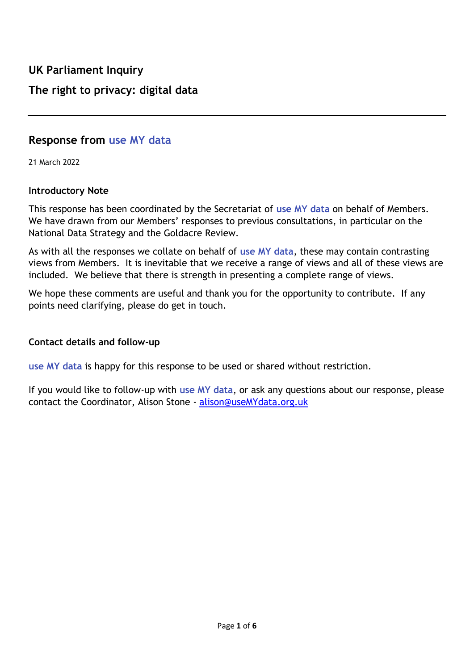# **Response from use MY data**

21 March 2022

#### **Introductory Note**

This response has been coordinated by the Secretariat of **use MY data** on behalf of Members. We have drawn from our Members' responses to previous consultations, in particular on the National Data Strategy and the Goldacre Review.

As with all the responses we collate on behalf of **use MY data**, these may contain contrasting views from Members. It is inevitable that we receive a range of views and all of these views are included. We believe that there is strength in presenting a complete range of views.

We hope these comments are useful and thank you for the opportunity to contribute. If any points need clarifying, please do get in touch.

# **Contact details and follow-up**

**use MY data** is happy for this response to be used or shared without restriction.

If you would like to follow-up with **use MY data**, or ask any questions about our response, please contact the Coordinator, Alison Stone - [alison@useMYdata.org.uk](mailto:alison@useMYdata.org.uk)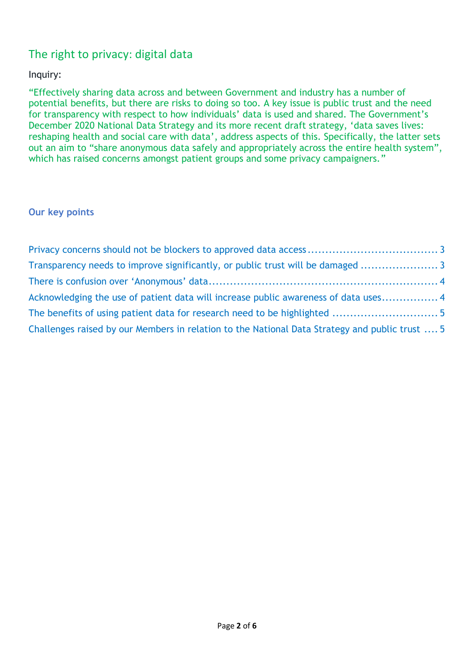# The right to privacy: digital data

# Inquiry:

"Effectively sharing data across and between Government and industry has a number of potential benefits, but there are risks to doing so too. A key issue is public trust and the need for transparency with respect to how individuals' data is used and shared. The Government's December 2020 [National Data Strategy](https://www.gov.uk/government/publications/uk-national-data-strategy/national-data-strategy) and its more recent draft strategy, '[data saves lives:](https://www.gov.uk/government/news/data-strategy-to-support-delivery-of-patient-centred-care)  [reshaping health and social care with data](https://www.gov.uk/government/news/data-strategy-to-support-delivery-of-patient-centred-care)', address aspects of this. Specifically, the latter sets out an aim to "share anonymous data safely and appropriately across the entire health system", which has raised concerns amongst patient groups and some privacy campaigners."

# **Our key points**

| Transparency needs to improve significantly, or public trust will be damaged                   |  |
|------------------------------------------------------------------------------------------------|--|
|                                                                                                |  |
| Acknowledging the use of patient data will increase public awareness of data uses 4            |  |
|                                                                                                |  |
| Challenges raised by our Members in relation to the National Data Strategy and public trust  5 |  |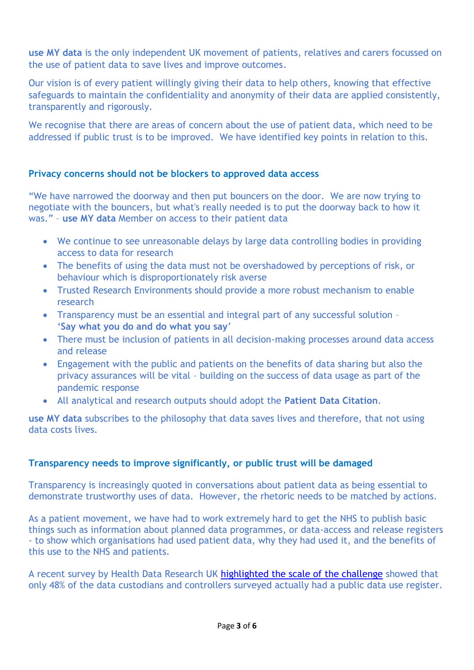**use MY data** is the only independent UK movement of patients, relatives and carers focussed on the use of patient data to save lives and improve outcomes.

Our vision is of every patient willingly giving their data to help others, knowing that effective safeguards to maintain the confidentiality and anonymity of their data are applied consistently, transparently and rigorously.

We recognise that there are areas of concern about the use of patient data, which need to be addressed if public trust is to be improved. We have identified key points in relation to this.

#### <span id="page-2-0"></span>**Privacy concerns should not be blockers to approved data access**

"We have narrowed the doorway and then put bouncers on the door. We are now trying to negotiate with the bouncers, but what's really needed is to put the doorway back to how it was." – **use MY data** Member on access to their patient data

- We continue to see unreasonable delays by large data controlling bodies in providing access to data for research
- The benefits of using the data must not be overshadowed by perceptions of risk, or behaviour which is disproportionately risk averse
- Trusted Research Environments should provide a more robust mechanism to enable research
- Transparency must be an essential and integral part of any successful solution '**Say what you do and do what you say**'
- There must be inclusion of patients in all decision-making processes around data access and release
- Engagement with the public and patients on the benefits of data sharing but also the privacy assurances will be vital – building on the success of data usage as part of the pandemic response
- All analytical and research outputs should adopt the **Patient Data Citation**.

**use MY data** subscribes to the philosophy that data saves lives and therefore, that not using data costs lives.

# <span id="page-2-1"></span>**Transparency needs to improve significantly, or public trust will be damaged**

Transparency is increasingly quoted in conversations about patient data as being essential to demonstrate trustworthy uses of data. However, the rhetoric needs to be matched by actions.

As a patient movement, we have had to work extremely hard to get the NHS to publish basic things such as information about planned data programmes, or data-access and release registers - to show which organisations had used patient data, why they had used it, and the benefits of this use to the NHS and patients.

A recent survey by Health Data Research UK [highlighted the scale of the challenge](https://www.medrxiv.org/content/10.1101/2021.05.25.21257785v1.full-text) showed that only 48% of the data custodians and controllers surveyed actually had a public data use register.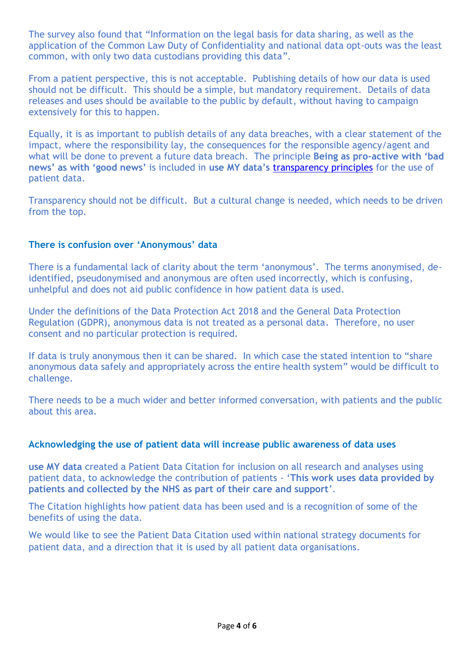The survey also found that "Information on the legal basis for data sharing, as well as the application of the Common Law Duty of Confidentiality and national data opt-outs was the least common, with only two data custodians providing this data".

From a patient perspective, this is not acceptable. Publishing details of how our data is used should not be difficult. This should be a simple, but mandatory requirement. Details of data releases and uses should be available to the public by default, without having to campaign extensively for this to happen.

Equally, it is as important to publish details of any data breaches, with a clear statement of the impact, where the responsibility lay, the consequences for the responsible agency/agent and what will be done to prevent a future data breach. The principle **Being as pro-active with 'bad news' as with 'good news'** is included in **use MY data's** [transparency principles](https://www.usemydata.org/projects.php?project=4) for the use of patient data.

Transparency should not be difficult. But a cultural change is needed, which needs to be driven from the top.

#### <span id="page-3-0"></span>**There is confusion over 'Anonymous' data**

There is a fundamental lack of clarity about the term 'anonymous'. The terms anonymised, deidentified, pseudonymised and anonymous are often used incorrectly, which is confusing, unhelpful and does not aid public confidence in how patient data is used.

Under the definitions of the Data Protection Act 2018 and the General Data Protection Regulation (GDPR), anonymous data is not treated as a personal data. Therefore, no user consent and no particular protection is required.

If data is truly anonymous then it can be shared. In which case the stated intention to "share anonymous data safely and appropriately across the entire health system" would be difficult to challenge.

There needs to be a much wider and better informed conversation, with patients and the public about this area.

#### <span id="page-3-1"></span>**Acknowledging the use of patient data will increase public awareness of data uses**

**use MY data** created a Patient Data Citation for inclusion on all research and analyses using patient data, to acknowledge the contribution of patients - '**This work uses data provided by patients and collected by the NHS as part of their care and support**'.

The Citation highlights how patient data has been used and is a recognition of some of the benefits of using the data.

<span id="page-3-2"></span>We would like to see the Patient Data Citation used within national strategy documents for patient data, and a direction that it is used by all patient data organisations.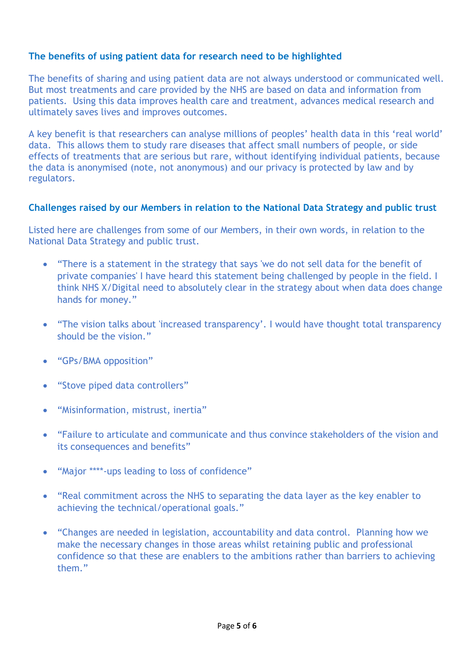# **The benefits of using patient data for research need to be highlighted**

The benefits of sharing and using patient data are not always understood or communicated well. But most treatments and care provided by the NHS are based on data and information from patients. Using this data improves health care and treatment, advances medical research and ultimately saves lives and improves outcomes.

A key benefit is that researchers can analyse millions of peoples' health data in this 'real world' data. This allows them to study rare diseases that affect small numbers of people, or side effects of treatments that are serious but rare, without identifying individual patients, because the data is anonymised (note, not anonymous) and our privacy is protected by law and by regulators.

# <span id="page-4-0"></span>**Challenges raised by our Members in relation to the National Data Strategy and public trust**

Listed here are challenges from some of our Members, in their own words, in relation to the National Data Strategy and public trust.

- "There is a statement in the strategy that says 'we do not sell data for the benefit of private companies' I have heard this statement being challenged by people in the field. I think NHS X/Digital need to absolutely clear in the strategy about when data does change hands for money."
- "The vision talks about 'increased transparency'. I would have thought total transparency should be the vision."
- "GPs/BMA opposition"
- "Stove piped data controllers"
- "Misinformation, mistrust, inertia"
- "Failure to articulate and communicate and thus convince stakeholders of the vision and its consequences and benefits"
- "Major \*\*\*\*-ups leading to loss of confidence"
- "Real commitment across the NHS to separating the data layer as the key enabler to achieving the technical/operational goals."
- "Changes are needed in legislation, accountability and data control. Planning how we make the necessary changes in those areas whilst retaining public and professional confidence so that these are enablers to the ambitions rather than barriers to achieving them."